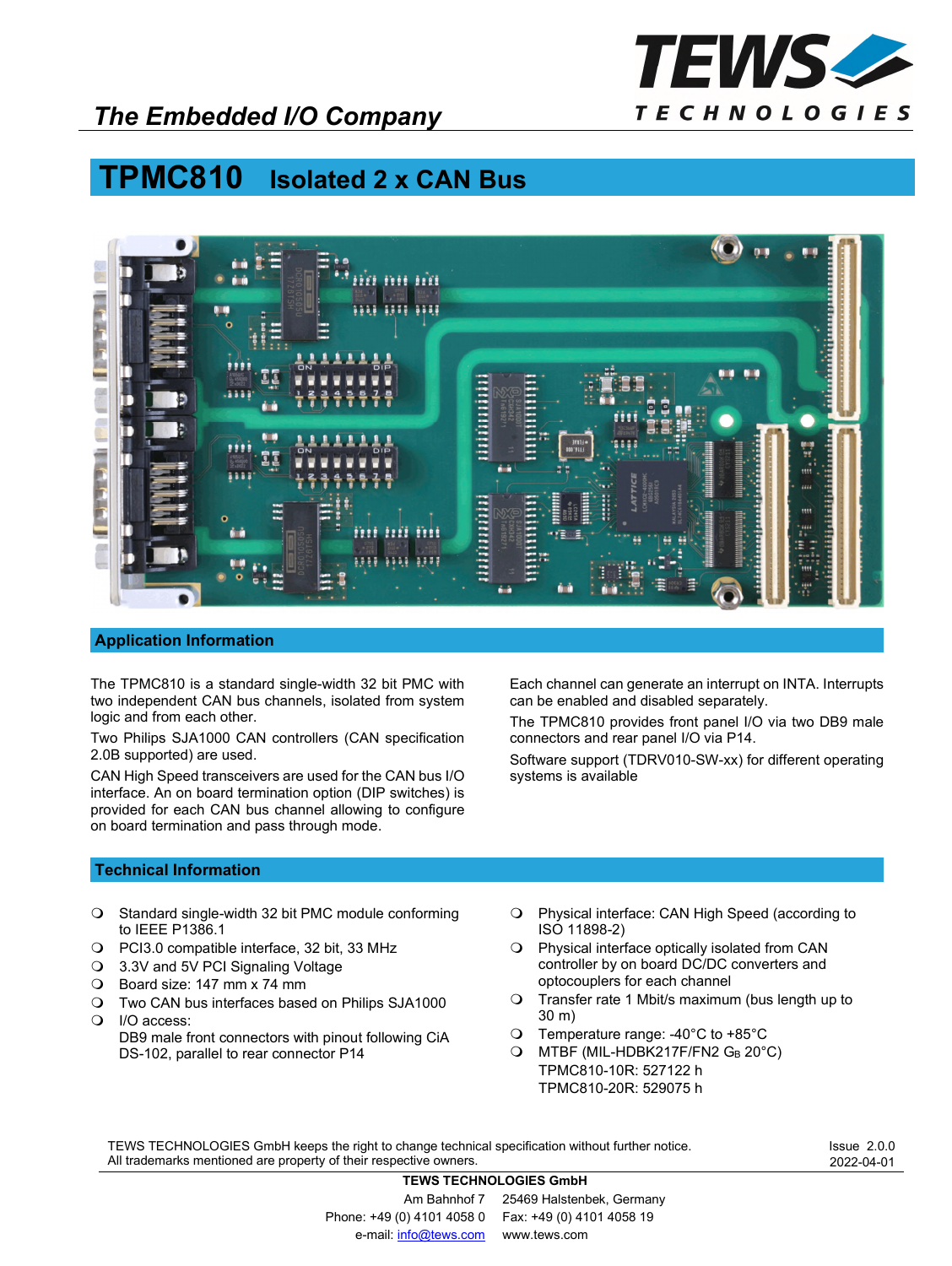

## *The Embedded I/O Company*

# **TPMC810 Isolated 2 x CAN Bus**



#### **Application Information**

The TPMC810 is a standard single-width 32 bit PMC with two independent CAN bus channels, isolated from system logic and from each other.

Two Philips SJA1000 CAN controllers (CAN specification 2.0B supported) are used.

CAN High Speed transceivers are used for the CAN bus I/O interface. An on board termination option (DIP switches) is provided for each CAN bus channel allowing to configure on board termination and pass through mode.

Each channel can generate an interrupt on INTA. Interrupts can be enabled and disabled separately.

The TPMC810 provides front panel I/O via two DB9 male connectors and rear panel I/O via P14.

Software support (TDRV010-SW-xx) for different operating systems is available

### **Technical Information**

- O Standard single-width 32 bit PMC module conforming to IEEE P1386.1
- PCI3.0 compatible interface, 32 bit, 33 MHz
- 3.3V and 5V PCI Signaling Voltage
- Board size: 147 mm x 74 mm
- Two CAN bus interfaces based on Philips SJA1000
- O I/O access: DB9 male front connectors with pinout following CiA DS-102, parallel to rear connector P14
- Physical interface: CAN High Speed (according to ISO 11898-2)
- Physical interface optically isolated from CAN controller by on board DC/DC converters and optocouplers for each channel
- Transfer rate 1 Mbit/s maximum (bus length up to 30 m)
- Temperature range: -40°C to +85°C
- O MTBF (MIL-HDBK217F/FN2 GB 20°C) TPMC810-10R: 527122 h TPMC810-20R: 529075 h

TEWS TECHNOLOGIES GmbH keeps the right to change technical specification without further notice. All trademarks mentioned are property of their respective owners.

Issue 2.0.0 2022-04-01